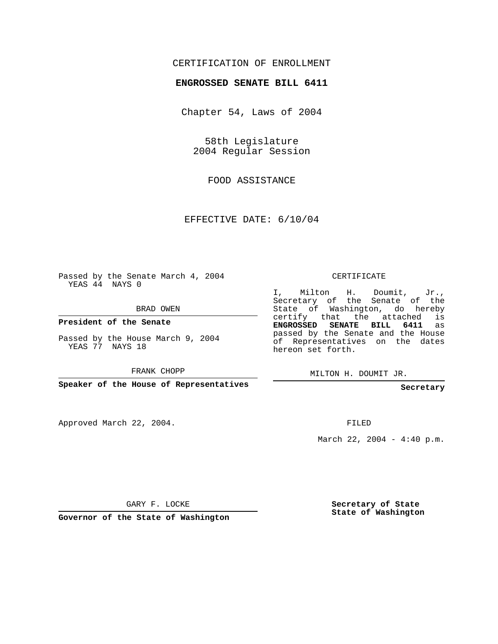#### CERTIFICATION OF ENROLLMENT

#### **ENGROSSED SENATE BILL 6411**

Chapter 54, Laws of 2004

58th Legislature 2004 Regular Session

FOOD ASSISTANCE

EFFECTIVE DATE: 6/10/04

Passed by the Senate March 4, 2004 YEAS 44 NAYS 0

BRAD OWEN

**President of the Senate**

Passed by the House March 9, 2004 YEAS 77 NAYS 18

FRANK CHOPP

**Speaker of the House of Representatives**

Approved March 22, 2004.

CERTIFICATE

I, Milton H. Doumit, Jr., Secretary of the Senate of the State of Washington, do hereby certify that the attached is **ENGROSSED SENATE BILL 6411** as passed by the Senate and the House of Representatives on the dates hereon set forth.

MILTON H. DOUMIT JR.

**Secretary**

FILED

March 22, 2004 - 4:40 p.m.

GARY F. LOCKE

**Governor of the State of Washington**

**Secretary of State State of Washington**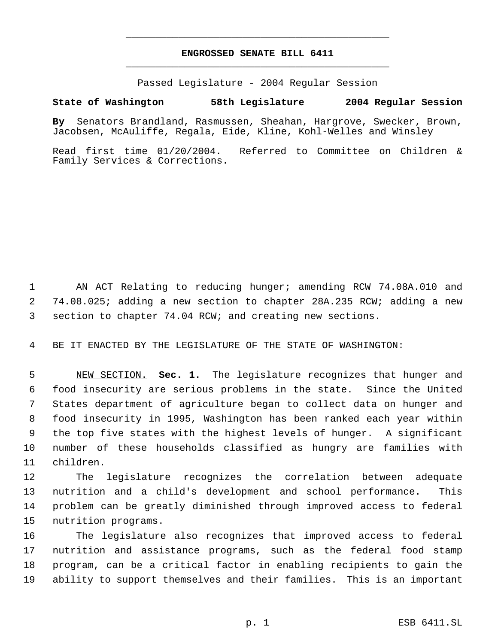# **ENGROSSED SENATE BILL 6411** \_\_\_\_\_\_\_\_\_\_\_\_\_\_\_\_\_\_\_\_\_\_\_\_\_\_\_\_\_\_\_\_\_\_\_\_\_\_\_\_\_\_\_\_\_

\_\_\_\_\_\_\_\_\_\_\_\_\_\_\_\_\_\_\_\_\_\_\_\_\_\_\_\_\_\_\_\_\_\_\_\_\_\_\_\_\_\_\_\_\_

Passed Legislature - 2004 Regular Session

### **State of Washington 58th Legislature 2004 Regular Session**

**By** Senators Brandland, Rasmussen, Sheahan, Hargrove, Swecker, Brown, Jacobsen, McAuliffe, Regala, Eide, Kline, Kohl-Welles and Winsley

Read first time 01/20/2004. Referred to Committee on Children & Family Services & Corrections.

 AN ACT Relating to reducing hunger; amending RCW 74.08A.010 and 74.08.025; adding a new section to chapter 28A.235 RCW; adding a new section to chapter 74.04 RCW; and creating new sections.

BE IT ENACTED BY THE LEGISLATURE OF THE STATE OF WASHINGTON:

 NEW SECTION. **Sec. 1.** The legislature recognizes that hunger and food insecurity are serious problems in the state. Since the United States department of agriculture began to collect data on hunger and food insecurity in 1995, Washington has been ranked each year within the top five states with the highest levels of hunger. A significant number of these households classified as hungry are families with children.

 The legislature recognizes the correlation between adequate nutrition and a child's development and school performance. This problem can be greatly diminished through improved access to federal nutrition programs.

 The legislature also recognizes that improved access to federal nutrition and assistance programs, such as the federal food stamp program, can be a critical factor in enabling recipients to gain the ability to support themselves and their families. This is an important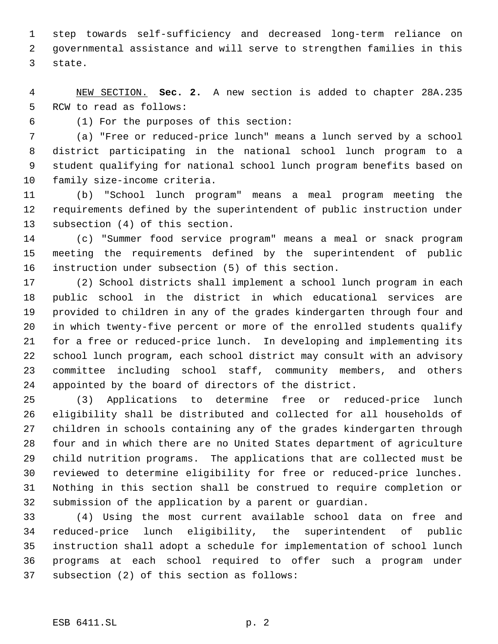step towards self-sufficiency and decreased long-term reliance on governmental assistance and will serve to strengthen families in this state.

 NEW SECTION. **Sec. 2.** A new section is added to chapter 28A.235 RCW to read as follows:

(1) For the purposes of this section:

 (a) "Free or reduced-price lunch" means a lunch served by a school district participating in the national school lunch program to a student qualifying for national school lunch program benefits based on family size-income criteria.

 (b) "School lunch program" means a meal program meeting the requirements defined by the superintendent of public instruction under subsection (4) of this section.

 (c) "Summer food service program" means a meal or snack program meeting the requirements defined by the superintendent of public instruction under subsection (5) of this section.

 (2) School districts shall implement a school lunch program in each public school in the district in which educational services are provided to children in any of the grades kindergarten through four and in which twenty-five percent or more of the enrolled students qualify for a free or reduced-price lunch. In developing and implementing its school lunch program, each school district may consult with an advisory committee including school staff, community members, and others appointed by the board of directors of the district.

 (3) Applications to determine free or reduced-price lunch eligibility shall be distributed and collected for all households of children in schools containing any of the grades kindergarten through four and in which there are no United States department of agriculture child nutrition programs. The applications that are collected must be reviewed to determine eligibility for free or reduced-price lunches. Nothing in this section shall be construed to require completion or submission of the application by a parent or guardian.

 (4) Using the most current available school data on free and reduced-price lunch eligibility, the superintendent of public instruction shall adopt a schedule for implementation of school lunch programs at each school required to offer such a program under subsection (2) of this section as follows: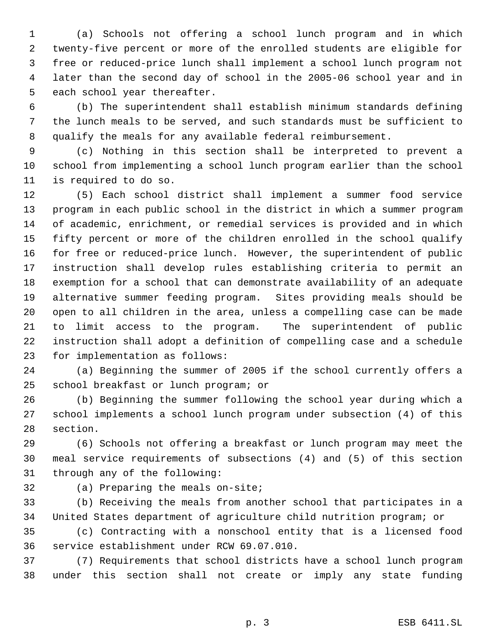(a) Schools not offering a school lunch program and in which twenty-five percent or more of the enrolled students are eligible for free or reduced-price lunch shall implement a school lunch program not later than the second day of school in the 2005-06 school year and in each school year thereafter.

 (b) The superintendent shall establish minimum standards defining the lunch meals to be served, and such standards must be sufficient to qualify the meals for any available federal reimbursement.

 (c) Nothing in this section shall be interpreted to prevent a school from implementing a school lunch program earlier than the school is required to do so.

 (5) Each school district shall implement a summer food service program in each public school in the district in which a summer program of academic, enrichment, or remedial services is provided and in which fifty percent or more of the children enrolled in the school qualify for free or reduced-price lunch. However, the superintendent of public instruction shall develop rules establishing criteria to permit an exemption for a school that can demonstrate availability of an adequate alternative summer feeding program. Sites providing meals should be open to all children in the area, unless a compelling case can be made to limit access to the program. The superintendent of public instruction shall adopt a definition of compelling case and a schedule for implementation as follows:

 (a) Beginning the summer of 2005 if the school currently offers a school breakfast or lunch program; or

 (b) Beginning the summer following the school year during which a school implements a school lunch program under subsection (4) of this section.

 (6) Schools not offering a breakfast or lunch program may meet the meal service requirements of subsections (4) and (5) of this section through any of the following:

(a) Preparing the meals on-site;

 (b) Receiving the meals from another school that participates in a United States department of agriculture child nutrition program; or

 (c) Contracting with a nonschool entity that is a licensed food service establishment under RCW 69.07.010.

 (7) Requirements that school districts have a school lunch program under this section shall not create or imply any state funding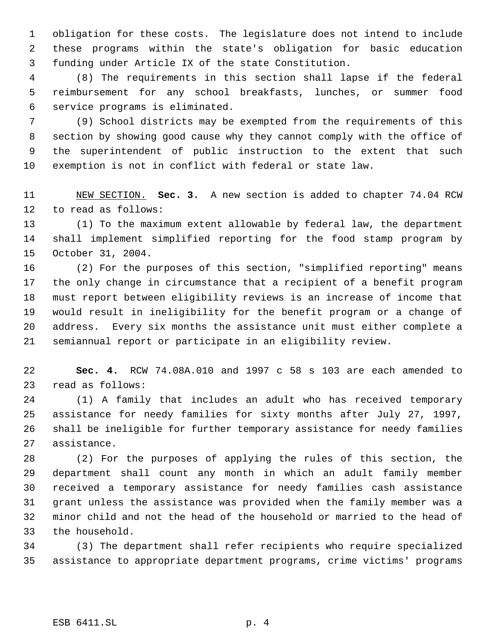obligation for these costs. The legislature does not intend to include these programs within the state's obligation for basic education funding under Article IX of the state Constitution.

 (8) The requirements in this section shall lapse if the federal reimbursement for any school breakfasts, lunches, or summer food service programs is eliminated.

 (9) School districts may be exempted from the requirements of this section by showing good cause why they cannot comply with the office of the superintendent of public instruction to the extent that such exemption is not in conflict with federal or state law.

 NEW SECTION. **Sec. 3.** A new section is added to chapter 74.04 RCW to read as follows:

 (1) To the maximum extent allowable by federal law, the department shall implement simplified reporting for the food stamp program by October 31, 2004.

 (2) For the purposes of this section, "simplified reporting" means the only change in circumstance that a recipient of a benefit program must report between eligibility reviews is an increase of income that would result in ineligibility for the benefit program or a change of address. Every six months the assistance unit must either complete a semiannual report or participate in an eligibility review.

 **Sec. 4.** RCW 74.08A.010 and 1997 c 58 s 103 are each amended to read as follows:

 (1) A family that includes an adult who has received temporary assistance for needy families for sixty months after July 27, 1997, shall be ineligible for further temporary assistance for needy families assistance.

 (2) For the purposes of applying the rules of this section, the department shall count any month in which an adult family member received a temporary assistance for needy families cash assistance grant unless the assistance was provided when the family member was a minor child and not the head of the household or married to the head of the household.

 (3) The department shall refer recipients who require specialized assistance to appropriate department programs, crime victims' programs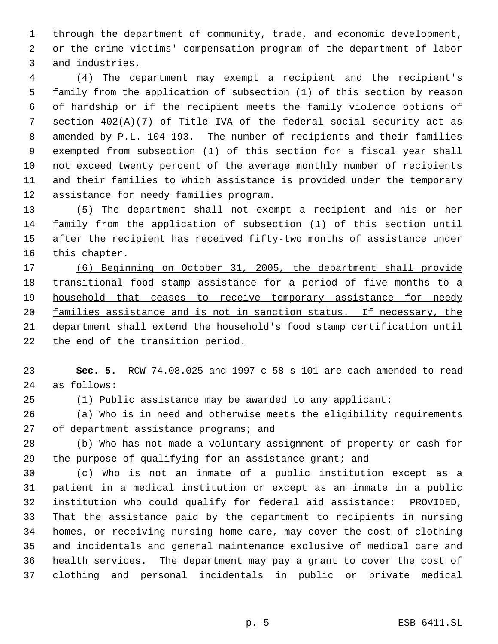through the department of community, trade, and economic development, or the crime victims' compensation program of the department of labor and industries.

 (4) The department may exempt a recipient and the recipient's family from the application of subsection (1) of this section by reason of hardship or if the recipient meets the family violence options of section 402(A)(7) of Title IVA of the federal social security act as amended by P.L. 104-193. The number of recipients and their families exempted from subsection (1) of this section for a fiscal year shall not exceed twenty percent of the average monthly number of recipients and their families to which assistance is provided under the temporary assistance for needy families program.

 (5) The department shall not exempt a recipient and his or her family from the application of subsection (1) of this section until after the recipient has received fifty-two months of assistance under this chapter.

 (6) Beginning on October 31, 2005, the department shall provide 18 transitional food stamp assistance for a period of five months to a 19 household that ceases to receive temporary assistance for needy families assistance and is not in sanction status. If necessary, the department shall extend the household's food stamp certification until 22 the end of the transition period.

 **Sec. 5.** RCW 74.08.025 and 1997 c 58 s 101 are each amended to read as follows:

(1) Public assistance may be awarded to any applicant:

 (a) Who is in need and otherwise meets the eligibility requirements 27 of department assistance programs; and

 (b) Who has not made a voluntary assignment of property or cash for the purpose of qualifying for an assistance grant; and

 (c) Who is not an inmate of a public institution except as a patient in a medical institution or except as an inmate in a public institution who could qualify for federal aid assistance: PROVIDED, That the assistance paid by the department to recipients in nursing homes, or receiving nursing home care, may cover the cost of clothing and incidentals and general maintenance exclusive of medical care and health services. The department may pay a grant to cover the cost of clothing and personal incidentals in public or private medical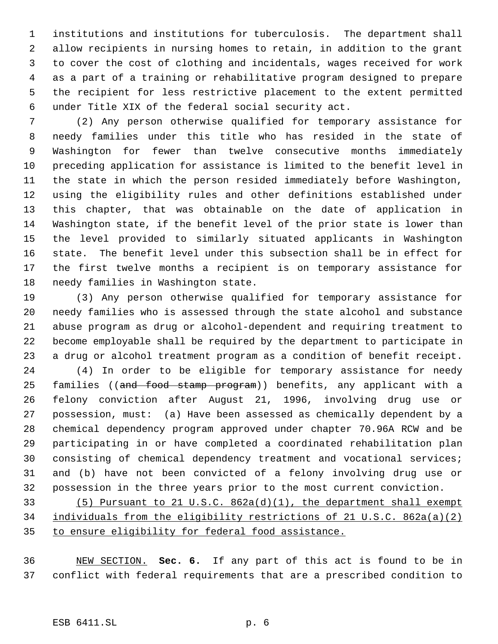institutions and institutions for tuberculosis. The department shall allow recipients in nursing homes to retain, in addition to the grant to cover the cost of clothing and incidentals, wages received for work as a part of a training or rehabilitative program designed to prepare the recipient for less restrictive placement to the extent permitted under Title XIX of the federal social security act.

 (2) Any person otherwise qualified for temporary assistance for needy families under this title who has resided in the state of Washington for fewer than twelve consecutive months immediately preceding application for assistance is limited to the benefit level in the state in which the person resided immediately before Washington, using the eligibility rules and other definitions established under this chapter, that was obtainable on the date of application in Washington state, if the benefit level of the prior state is lower than the level provided to similarly situated applicants in Washington state. The benefit level under this subsection shall be in effect for the first twelve months a recipient is on temporary assistance for needy families in Washington state.

 (3) Any person otherwise qualified for temporary assistance for needy families who is assessed through the state alcohol and substance abuse program as drug or alcohol-dependent and requiring treatment to become employable shall be required by the department to participate in a drug or alcohol treatment program as a condition of benefit receipt.

 (4) In order to be eligible for temporary assistance for needy 25 families ((and food stamp program)) benefits, any applicant with a felony conviction after August 21, 1996, involving drug use or possession, must: (a) Have been assessed as chemically dependent by a chemical dependency program approved under chapter 70.96A RCW and be participating in or have completed a coordinated rehabilitation plan consisting of chemical dependency treatment and vocational services; and (b) have not been convicted of a felony involving drug use or possession in the three years prior to the most current conviction.

 (5) Pursuant to 21 U.S.C. 862a(d)(1), the department shall exempt individuals from the eligibility restrictions of 21 U.S.C. 862a(a)(2) to ensure eligibility for federal food assistance.

 NEW SECTION. **Sec. 6.** If any part of this act is found to be in conflict with federal requirements that are a prescribed condition to

# ESB 6411.SL p. 6